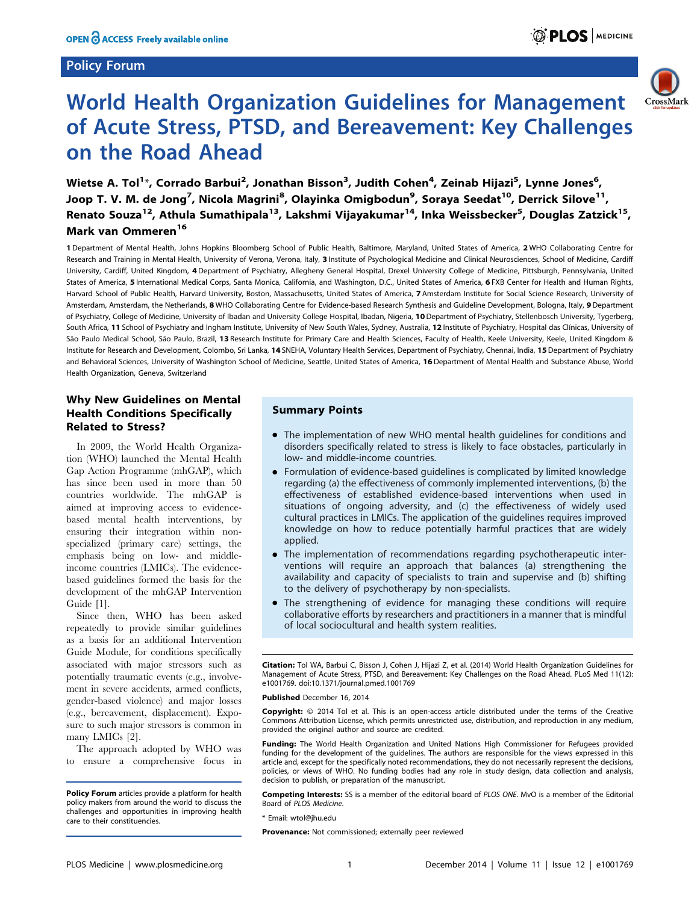#### Policy Forum



# World Health Organization Guidelines for Management of Acute Stress, PTSD, and Bereavement: Key Challenges on the Road Ahead

Wietse A. Tol<sup>1</sup>\*, Corrado Barbui<sup>2</sup>, Jonathan Bisson<sup>3</sup>, Judith Cohen<sup>4</sup>, Zeinab Hijazi<sup>5</sup>, Lynne Jones<sup>6</sup>, Joop T. V. M. de Jong<sup>7</sup>, Nicola Magrini<sup>8</sup>, Olayinka Omigbodun<sup>9</sup>, Soraya Seedat<sup>10</sup>, Derrick Silove<sup>11</sup>, Renato Souza<sup>12</sup>, Athula Sumathipala<sup>13</sup>, Lakshmi Vijayakumar<sup>14</sup>, Inka Weissbecker<sup>5</sup>, Douglas Zatzick<sup>15</sup>, Mark van Ommeren<sup>16</sup>

1 Department of Mental Health, Johns Hopkins Bloomberg School of Public Health, Baltimore, Maryland, United States of America, 2 WHO Collaborating Centre for Research and Training in Mental Health, University of Verona, Verona, Italy, 3 Institute of Psychological Medicine and Clinical Neurosciences, School of Medicine, Cardiff University, Cardiff, United Kingdom, 4 Department of Psychiatry, Allegheny General Hospital, Drexel University College of Medicine, Pittsburgh, Pennsylvania, United States of America, 5 International Medical Corps, Santa Monica, California, and Washington, D.C., United States of America, 6 FXB Center for Health and Human Rights, Harvard School of Public Health, Harvard University, Boston, Massachusetts, United States of America, 7 Amsterdam Institute for Social Science Research, University of Amsterdam, Amsterdam, the Netherlands, 8 WHO Collaborating Centre for Evidence-based Research Synthesis and Guideline Development, Bologna, Italy, 9 Department of Psychiatry, College of Medicine, University of Ibadan and University College Hospital, Ibadan, Nigeria, 10Department of Psychiatry, Stellenbosch University, Tygerberg, South Africa, 11 School of Psychiatry and Ingham Institute, University of New South Wales, Sydney, Australia, 12 Institute of Psychiatry, Hospital das Clínicas, University of São Paulo Medical School, São Paulo, Brazil, 13 Research Institute for Primary Care and Health Sciences, Faculty of Health, Keele University, Keele, United Kingdom & Institute for Research and Development, Colombo, Sri Lanka, 14 SNEHA, Voluntary Health Services, Department of Psychiatry, Chennai, India, 15 Department of Psychiatry and Behavioral Sciences, University of Washington School of Medicine, Seattle, United States of America, 16 Department of Mental Health and Substance Abuse, World Health Organization, Geneva, Switzerland

## Why New Guidelines on Mental Health Conditions Specifically Related to Stress?

In 2009, the World Health Organization (WHO) launched the Mental Health Gap Action Programme (mhGAP), which has since been used in more than 50 countries worldwide. The mhGAP is aimed at improving access to evidencebased mental health interventions, by ensuring their integration within nonspecialized (primary care) settings, the emphasis being on low- and middleincome countries (LMICs). The evidencebased guidelines formed the basis for the development of the mhGAP Intervention Guide [1].

Since then, WHO has been asked repeatedly to provide similar guidelines as a basis for an additional Intervention Guide Module, for conditions specifically associated with major stressors such as potentially traumatic events (e.g., involvement in severe accidents, armed conflicts, gender-based violence) and major losses (e.g., bereavement, displacement). Exposure to such major stressors is common in many LMICs [2].

The approach adopted by WHO was to ensure a comprehensive focus in

#### Summary Points

- The implementation of new WHO mental health guidelines for conditions and disorders specifically related to stress is likely to face obstacles, particularly in low- and middle-income countries.
- Formulation of evidence-based guidelines is complicated by limited knowledge regarding (a) the effectiveness of commonly implemented interventions, (b) the effectiveness of established evidence-based interventions when used in situations of ongoing adversity, and (c) the effectiveness of widely used cultural practices in LMICs. The application of the guidelines requires improved knowledge on how to reduce potentially harmful practices that are widely applied.
- The implementation of recommendations regarding psychotherapeutic interventions will require an approach that balances (a) strengthening the availability and capacity of specialists to train and supervise and (b) shifting to the delivery of psychotherapy by non-specialists.
- The strengthening of evidence for managing these conditions will require collaborative efforts by researchers and practitioners in a manner that is mindful of local sociocultural and health system realities.

Citation: Tol WA, Barbui C, Bisson J, Cohen J, Hijazi Z, et al. (2014) World Health Organization Guidelines for Management of Acute Stress, PTSD, and Bereavement: Key Challenges on the Road Ahead. PLoS Med 11(12): e1001769. doi:10.1371/journal.pmed.1001769

ublished December 16, 2014

**Copyright:** © 2014 Tol et al. This is an open-access article distributed under the terms of the [Creative](http://creativecommons.org/licenses/by/4.0/) [Commons Attribution License,](http://creativecommons.org/licenses/by/4.0/) which permits unrestricted use, distribution, and reproduction in any medium, provided the original author and source are credited.

Funding: The World Health Organization and United Nations High Commissioner for Refugees provided funding for the development of the guidelines. The authors are responsible for the views expressed in this article and, except for the specifically noted recommendations, they do not necessarily represent the decisions, policies, or views of WHO. No funding bodies had any role in study design, data collection and analysis, decision to publish, or preparation of the manuscript.

Competing Interests: SS is a member of the editorial board of PLOS ONE. MvO is a member of the Editorial Board of PLOS Medicine.

\* Email: wtol@jhu.edu

Policy Forum articles provide a platform for health policy makers from around the world to discuss the challenges and opportunities in improving health care to their constituencies.

Provenance: Not commissioned; externally peer reviewed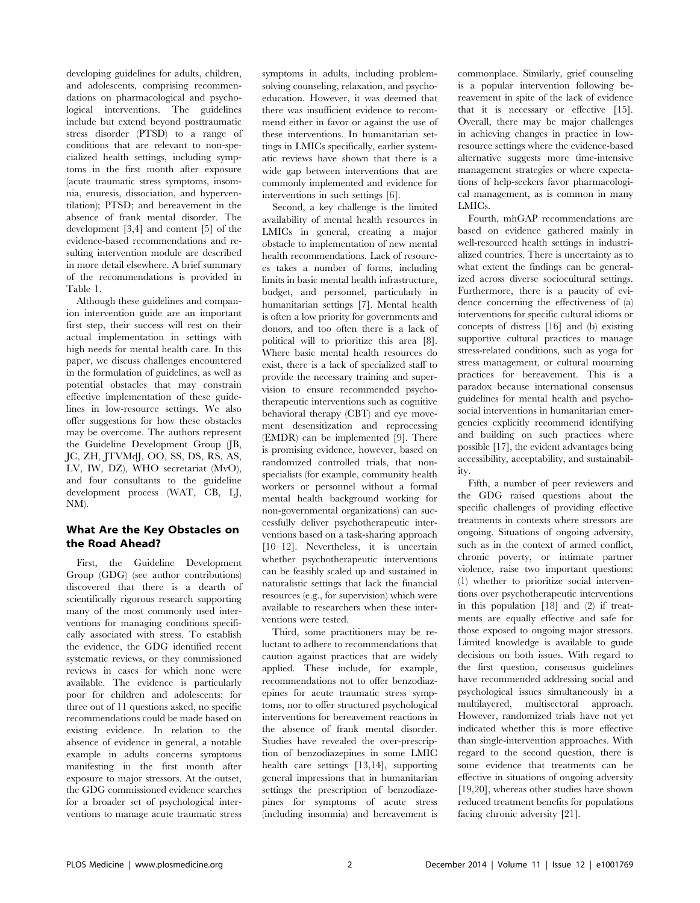developing guidelines for adults, children, and adolescents, comprising recommendations on pharmacological and psychological interventions. The guidelines include but extend beyond posttraumatic stress disorder (PTSD) to a range of conditions that are relevant to non-specialized health settings, including symptoms in the first month after exposure (acute traumatic stress symptoms, insomnia, enuresis, dissociation, and hyperventilation); PTSD; and bereavement in the absence of frank mental disorder. The development [3,4] and content [5] of the evidence-based recommendations and resulting intervention module are described in more detail elsewhere. A brief summary of the recommendations is provided in Table 1.

Although these guidelines and companion intervention guide are an important first step, their success will rest on their actual implementation in settings with high needs for mental health care. In this paper, we discuss challenges encountered in the formulation of guidelines, as well as potential obstacles that may constrain effective implementation of these guidelines in low-resource settings. We also offer suggestions for how these obstacles may be overcome. The authors represent the Guideline Development Group (JB, JC, ZH, JTVMdJ, OO, SS, DS, RS, AS, LV, IW, DZ), WHO secretariat (MvO), and four consultants to the guideline development process (WAT, CB, LJ, NM).

#### What Are the Key Obstacles on the Road Ahead?

First, the Guideline Development Group (GDG) (see author contributions) discovered that there is a dearth of scientifically rigorous research supporting many of the most commonly used interventions for managing conditions specifically associated with stress. To establish the evidence, the GDG identified recent systematic reviews, or they commissioned reviews in cases for which none were available. The evidence is particularly poor for children and adolescents: for three out of 11 questions asked, no specific recommendations could be made based on existing evidence. In relation to the absence of evidence in general, a notable example in adults concerns symptoms manifesting in the first month after exposure to major stressors. At the outset, the GDG commissioned evidence searches for a broader set of psychological interventions to manage acute traumatic stress

symptoms in adults, including problemsolving counseling, relaxation, and psychoeducation. However, it was deemed that there was insufficient evidence to recommend either in favor or against the use of these interventions. In humanitarian settings in LMICs specifically, earlier systematic reviews have shown that there is a wide gap between interventions that are commonly implemented and evidence for interventions in such settings [6].

Second, a key challenge is the limited availability of mental health resources in LMICs in general, creating a major obstacle to implementation of new mental health recommendations. Lack of resources takes a number of forms, including limits in basic mental health infrastructure, budget, and personnel, particularly in humanitarian settings [7]. Mental health is often a low priority for governments and donors, and too often there is a lack of political will to prioritize this area [8]. Where basic mental health resources do exist, there is a lack of specialized staff to provide the necessary training and supervision to ensure recommended psychotherapeutic interventions such as cognitive behavioral therapy (CBT) and eye movement desensitization and reprocessing (EMDR) can be implemented [9]. There is promising evidence, however, based on randomized controlled trials, that nonspecialists (for example, community health workers or personnel without a formal mental health background working for non-governmental organizations) can successfully deliver psychotherapeutic interventions based on a task-sharing approach [10–12]. Nevertheless, it is uncertain whether psychotherapeutic interventions can be feasibly scaled up and sustained in naturalistic settings that lack the financial resources (e.g., for supervision) which were available to researchers when these interventions were tested.

Third, some practitioners may be reluctant to adhere to recommendations that caution against practices that are widely applied. These include, for example, recommendations not to offer benzodiazepines for acute traumatic stress symptoms, nor to offer structured psychological interventions for bereavement reactions in the absence of frank mental disorder. Studies have revealed the over-prescription of benzodiazepines in some LMIC health care settings [13,14], supporting general impressions that in humanitarian settings the prescription of benzodiazepines for symptoms of acute stress (including insomnia) and bereavement is commonplace. Similarly, grief counseling is a popular intervention following bereavement in spite of the lack of evidence that it is necessary or effective [15]. Overall, there may be major challenges in achieving changes in practice in lowresource settings where the evidence-based alternative suggests more time-intensive management strategies or where expectations of help-seekers favor pharmacological management, as is common in many LMICs.

Fourth, mhGAP recommendations are based on evidence gathered mainly in well-resourced health settings in industrialized countries. There is uncertainty as to what extent the findings can be generalized across diverse sociocultural settings. Furthermore, there is a paucity of evidence concerning the effectiveness of (a) interventions for specific cultural idioms or concepts of distress [16] and (b) existing supportive cultural practices to manage stress-related conditions, such as yoga for stress management, or cultural mourning practices for bereavement. This is a paradox because international consensus guidelines for mental health and psychosocial interventions in humanitarian emergencies explicitly recommend identifying and building on such practices where possible [17], the evident advantages being accessibility, acceptability, and sustainability.

Fifth, a number of peer reviewers and the GDG raised questions about the specific challenges of providing effective treatments in contexts where stressors are ongoing. Situations of ongoing adversity, such as in the context of armed conflict, chronic poverty, or intimate partner violence, raise two important questions: (1) whether to prioritize social interventions over psychotherapeutic interventions in this population [18] and (2) if treatments are equally effective and safe for those exposed to ongoing major stressors. Limited knowledge is available to guide decisions on both issues. With regard to the first question, consensus guidelines have recommended addressing social and psychological issues simultaneously in a multilayered, multisectoral approach. However, randomized trials have not yet indicated whether this is more effective than single-intervention approaches. With regard to the second question, there is some evidence that treatments can be effective in situations of ongoing adversity [19,20], whereas other studies have shown reduced treatment benefits for populations facing chronic adversity [21].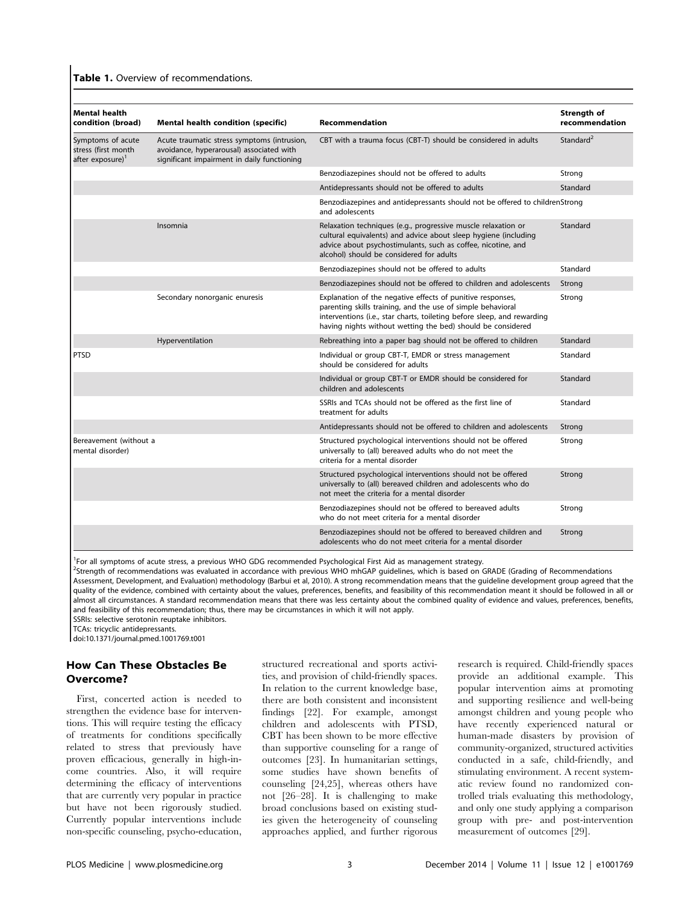| <b>Mental health</b><br>condition (broad)                                | Mental health condition (specific)                                                                                                     | Recommendation                                                                                                                                                                                                                                                      | Strength of<br>recommendation |
|--------------------------------------------------------------------------|----------------------------------------------------------------------------------------------------------------------------------------|---------------------------------------------------------------------------------------------------------------------------------------------------------------------------------------------------------------------------------------------------------------------|-------------------------------|
| Symptoms of acute<br>stress (first month<br>after exposure) <sup>1</sup> | Acute traumatic stress symptoms (intrusion,<br>avoidance, hyperarousal) associated with<br>significant impairment in daily functioning | CBT with a trauma focus (CBT-T) should be considered in adults                                                                                                                                                                                                      | Standard <sup>2</sup>         |
|                                                                          |                                                                                                                                        | Benzodiazepines should not be offered to adults                                                                                                                                                                                                                     | Strong                        |
|                                                                          |                                                                                                                                        | Antidepressants should not be offered to adults                                                                                                                                                                                                                     | Standard                      |
|                                                                          |                                                                                                                                        | Benzodiazepines and antidepressants should not be offered to childrenStrong<br>and adolescents                                                                                                                                                                      |                               |
|                                                                          | Insomnia                                                                                                                               | Relaxation techniques (e.g., progressive muscle relaxation or<br>cultural equivalents) and advice about sleep hygiene (including<br>advice about psychostimulants, such as coffee, nicotine, and<br>alcohol) should be considered for adults                        | Standard                      |
|                                                                          |                                                                                                                                        | Benzodiazepines should not be offered to adults                                                                                                                                                                                                                     | Standard                      |
|                                                                          |                                                                                                                                        | Benzodiazepines should not be offered to children and adolescents                                                                                                                                                                                                   | Strong                        |
|                                                                          | Secondary nonorganic enuresis                                                                                                          | Explanation of the negative effects of punitive responses,<br>parenting skills training, and the use of simple behavioral<br>interventions (i.e., star charts, toileting before sleep, and rewarding<br>having nights without wetting the bed) should be considered | Strong                        |
|                                                                          | Hyperventilation                                                                                                                       | Rebreathing into a paper bag should not be offered to children                                                                                                                                                                                                      | Standard                      |
| <b>PTSD</b>                                                              |                                                                                                                                        | Individual or group CBT-T, EMDR or stress management<br>should be considered for adults                                                                                                                                                                             | Standard                      |
|                                                                          |                                                                                                                                        | Individual or group CBT-T or EMDR should be considered for<br>children and adolescents                                                                                                                                                                              | Standard                      |
|                                                                          |                                                                                                                                        | SSRIs and TCAs should not be offered as the first line of<br>treatment for adults                                                                                                                                                                                   | Standard                      |
|                                                                          |                                                                                                                                        | Antidepressants should not be offered to children and adolescents                                                                                                                                                                                                   | Strong                        |
| Bereavement (without a<br>mental disorder)                               |                                                                                                                                        | Structured psychological interventions should not be offered<br>universally to (all) bereaved adults who do not meet the<br>criteria for a mental disorder                                                                                                          | Strong                        |
|                                                                          |                                                                                                                                        | Structured psychological interventions should not be offered<br>universally to (all) bereaved children and adolescents who do<br>not meet the criteria for a mental disorder                                                                                        | Strong                        |
|                                                                          |                                                                                                                                        | Benzodiazepines should not be offered to bereaved adults<br>who do not meet criteria for a mental disorder                                                                                                                                                          | Strong                        |
|                                                                          |                                                                                                                                        | Benzodiazepines should not be offered to bereaved children and<br>adolescents who do not meet criteria for a mental disorder                                                                                                                                        | Strong                        |

<sup>1</sup>For all symptoms of acute stress, a previous WHO GDG recommended Psychological First Aid as management strategy.

<sup>2</sup>Strength of recommendations was evaluated in accordance with previous WHO mhGAP guidelines, which is based on GRADE (Grading of Recommendations Assessment, Development, and Evaluation) methodology (Barbui et al, 2010). A strong recommendation means that the guideline development group agreed that the quality of the evidence, combined with certainty about the values, preferences, benefits, and feasibility of this recommendation meant it should be followed in all or almost all circumstances. A standard recommendation means that there was less certainty about the combined quality of evidence and values, preferences, benefits, and feasibility of this recommendation; thus, there may be circumstances in which it will not apply. SSRIs: selective serotonin reuptake inhibitors.

TCAs: tricyclic antidepressants.

doi:10.1371/journal.pmed.1001769.t001

#### How Can These Obstacles Be Overcome?

First, concerted action is needed to strengthen the evidence base for interventions. This will require testing the efficacy of treatments for conditions specifically related to stress that previously have proven efficacious, generally in high-income countries. Also, it will require determining the efficacy of interventions that are currently very popular in practice but have not been rigorously studied. Currently popular interventions include non-specific counseling, psycho-education, structured recreational and sports activities, and provision of child-friendly spaces. In relation to the current knowledge base, there are both consistent and inconsistent findings [22]. For example, amongst children and adolescents with PTSD, CBT has been shown to be more effective than supportive counseling for a range of outcomes [23]. In humanitarian settings, some studies have shown benefits of counseling [24,25], whereas others have not [26–28]. It is challenging to make broad conclusions based on existing studies given the heterogeneity of counseling approaches applied, and further rigorous research is required. Child-friendly spaces provide an additional example. This popular intervention aims at promoting and supporting resilience and well-being amongst children and young people who have recently experienced natural or human-made disasters by provision of community-organized, structured activities conducted in a safe, child-friendly, and stimulating environment. A recent systematic review found no randomized controlled trials evaluating this methodology, and only one study applying a comparison group with pre- and post-intervention measurement of outcomes [29].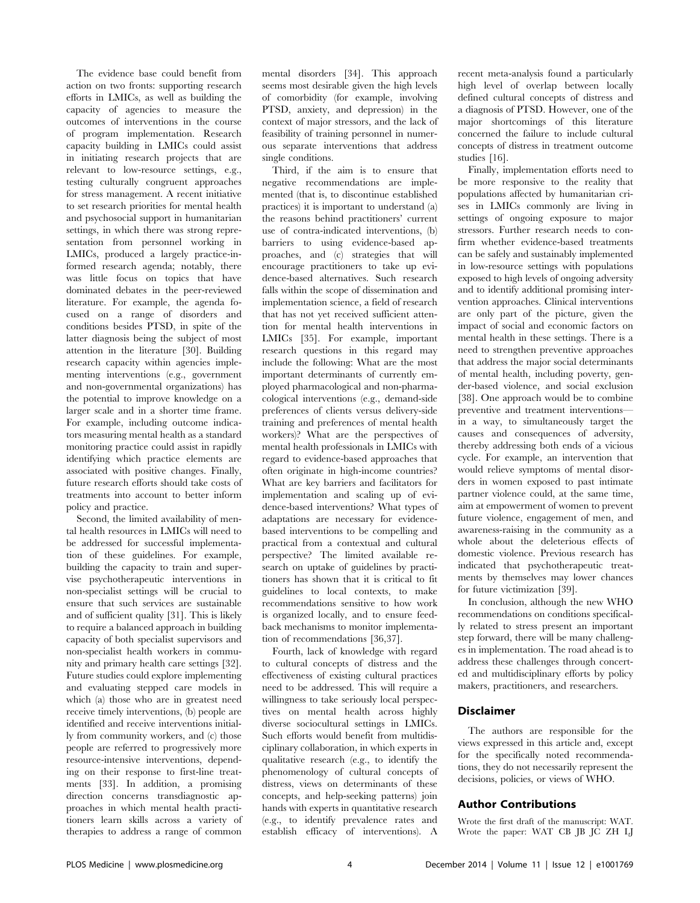The evidence base could benefit from action on two fronts: supporting research efforts in LMICs, as well as building the capacity of agencies to measure the outcomes of interventions in the course of program implementation. Research capacity building in LMICs could assist in initiating research projects that are relevant to low-resource settings, e.g., testing culturally congruent approaches for stress management. A recent initiative to set research priorities for mental health and psychosocial support in humanitarian settings, in which there was strong representation from personnel working in LMICs, produced a largely practice-informed research agenda; notably, there was little focus on topics that have dominated debates in the peer-reviewed literature. For example, the agenda focused on a range of disorders and conditions besides PTSD, in spite of the latter diagnosis being the subject of most attention in the literature [30]. Building research capacity within agencies implementing interventions (e.g., government and non-governmental organizations) has the potential to improve knowledge on a larger scale and in a shorter time frame. For example, including outcome indicators measuring mental health as a standard monitoring practice could assist in rapidly identifying which practice elements are associated with positive changes. Finally, future research efforts should take costs of treatments into account to better inform policy and practice.

Second, the limited availability of mental health resources in LMICs will need to be addressed for successful implementation of these guidelines. For example, building the capacity to train and supervise psychotherapeutic interventions in non-specialist settings will be crucial to ensure that such services are sustainable and of sufficient quality [31]. This is likely to require a balanced approach in building capacity of both specialist supervisors and non-specialist health workers in community and primary health care settings [32]. Future studies could explore implementing and evaluating stepped care models in which (a) those who are in greatest need receive timely interventions, (b) people are identified and receive interventions initially from community workers, and (c) those people are referred to progressively more resource-intensive interventions, depending on their response to first-line treatments [33]. In addition, a promising direction concerns transdiagnostic approaches in which mental health practitioners learn skills across a variety of therapies to address a range of common

mental disorders [34]. This approach seems most desirable given the high levels of comorbidity (for example, involving PTSD, anxiety, and depression) in the context of major stressors, and the lack of feasibility of training personnel in numerous separate interventions that address single conditions.

Third, if the aim is to ensure that negative recommendations are implemented (that is, to discontinue established practices) it is important to understand (a) the reasons behind practitioners' current use of contra-indicated interventions, (b) barriers to using evidence-based approaches, and (c) strategies that will encourage practitioners to take up evidence-based alternatives. Such research falls within the scope of dissemination and implementation science, a field of research that has not yet received sufficient attention for mental health interventions in LMICs [35]. For example, important research questions in this regard may include the following: What are the most important determinants of currently employed pharmacological and non-pharmacological interventions (e.g., demand-side preferences of clients versus delivery-side training and preferences of mental health workers)? What are the perspectives of mental health professionals in LMICs with regard to evidence-based approaches that often originate in high-income countries? What are key barriers and facilitators for implementation and scaling up of evidence-based interventions? What types of adaptations are necessary for evidencebased interventions to be compelling and practical from a contextual and cultural perspective? The limited available research on uptake of guidelines by practitioners has shown that it is critical to fit guidelines to local contexts, to make recommendations sensitive to how work is organized locally, and to ensure feedback mechanisms to monitor implementation of recommendations [36,37].

Fourth, lack of knowledge with regard to cultural concepts of distress and the effectiveness of existing cultural practices need to be addressed. This will require a willingness to take seriously local perspectives on mental health across highly diverse sociocultural settings in LMICs. Such efforts would benefit from multidisciplinary collaboration, in which experts in qualitative research (e.g., to identify the phenomenology of cultural concepts of distress, views on determinants of these concepts, and help-seeking patterns) join hands with experts in quantitative research (e.g., to identify prevalence rates and establish efficacy of interventions). A recent meta-analysis found a particularly high level of overlap between locally defined cultural concepts of distress and a diagnosis of PTSD. However, one of the major shortcomings of this literature concerned the failure to include cultural concepts of distress in treatment outcome studies [16].

Finally, implementation efforts need to be more responsive to the reality that populations affected by humanitarian crises in LMICs commonly are living in settings of ongoing exposure to major stressors. Further research needs to confirm whether evidence-based treatments can be safely and sustainably implemented in low-resource settings with populations exposed to high levels of ongoing adversity and to identify additional promising intervention approaches. Clinical interventions are only part of the picture, given the impact of social and economic factors on mental health in these settings. There is a need to strengthen preventive approaches that address the major social determinants of mental health, including poverty, gender-based violence, and social exclusion [38]. One approach would be to combine preventive and treatment interventions in a way, to simultaneously target the causes and consequences of adversity, thereby addressing both ends of a vicious cycle. For example, an intervention that would relieve symptoms of mental disorders in women exposed to past intimate partner violence could, at the same time, aim at empowerment of women to prevent future violence, engagement of men, and awareness-raising in the community as a whole about the deleterious effects of domestic violence. Previous research has indicated that psychotherapeutic treatments by themselves may lower chances for future victimization [39].

In conclusion, although the new WHO recommendations on conditions specifically related to stress present an important step forward, there will be many challenges in implementation. The road ahead is to address these challenges through concerted and multidisciplinary efforts by policy makers, practitioners, and researchers.

## Disclaimer

The authors are responsible for the views expressed in this article and, except for the specifically noted recommendations, they do not necessarily represent the decisions, policies, or views of WHO.

#### Author Contributions

Wrote the first draft of the manuscript: WAT. Wrote the paper: WAT CB JB JC ZH LJ